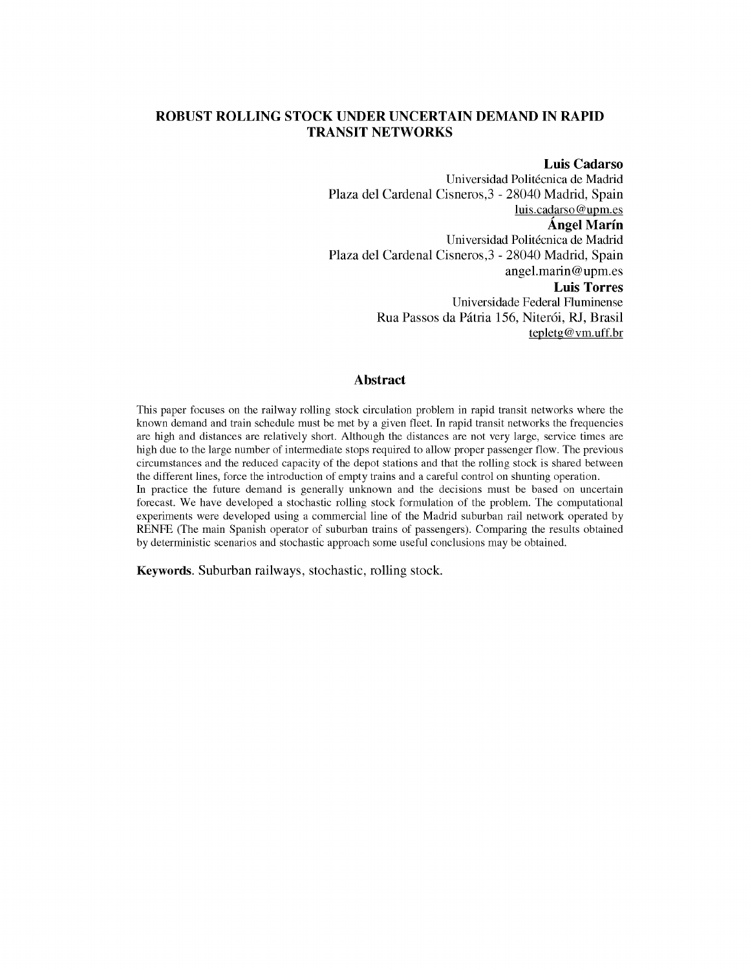# **ROBUST ROLLING STOCK UNDER UNCERTAIN DEMAND IN RAPID TRANSIT NETWORKS**

# **Luis Cadarso**

Universidad Politécnica de Madrid Plaza del Cardenal Cisneros,3 - 28040 Madrid, Spain luis.cadarso @upm.es **Angel Marin**  Universidad Politécnica de Madrid Plaza del Cardenal Cisneros,3 - 28040 Madrid, Spain [angel.marin@upm.es](mailto:angel.marin@upm.es)  **Luis Torres**  Universidade Federal Fluminense Rua Passos da Pátria 156, Niterói, RJ, Brasil tepletg @ [vm.uff.br](http://vm.uff.br)

# **Abstract**

This paper focuses on the railway rolling stock circulation problem in rapid transit networks where the known demand and train schedule must be met by a given fleet. In rapid transit networks the frequencies are high and distances are relatively short. Although the distances are not very large, service times are high due to the large number of intermediate stops required to allow proper passenger flow. The previous circumstances and the reduced capacity of the depot stations and that the rolling stock is shared between the different lines, force the introduction of empty trains and a careful control on shunting operation. In practice the future demand is generally unknown and the decisions must be based on uncertain forecast. We have developed a stochastic rolling stock formulation of the problem. The computational experiments were developed using a commercial line of the Madrid suburban rail network operated by RENFE (The main Spanish operator of suburban trains of passengers). Comparing the results obtained by deterministic scenarios and stochastic approach some useful conclusions may be obtained.

Keywords. Suburban railways, stochastic, rolling stock.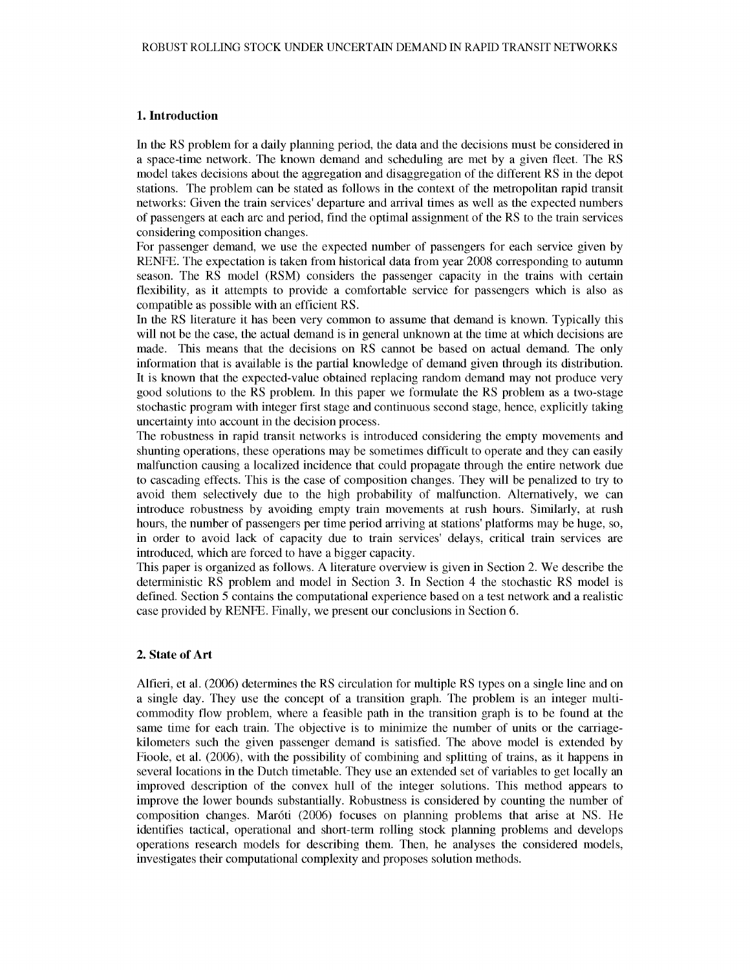#### **1. Introduction**

In the RS problem for a daily planning period, the data and the decisions must be considered in a space-time network. The known demand and scheduling are met by a given fleet. The RS model takes decisions about the aggregation and disaggregation of the different RS in the depot stations. The problem can be stated as follows in the context of the metropolitan rapid transit networks: Given the train services' departure and arrival times as well as the expected numbers of passengers at each arc and period, find the optimal assignment of the RS to the train services considering composition changes.

For passenger demand, we use the expected number of passengers for each service given by RENFE. The expectation is taken from historical data from year 2008 corresponding to autumn season. The RS model (RSM) considers the passenger capacity in the trains with certain flexibility, as it attempts to provide a comfortable service for passengers which is also as compatible as possible with an efficient RS.

In the RS literature it has been very common to assume that demand is known. Typically this will not be the case, the actual demand is in general unknown at the time at which decisions are made. This means that the decisions on RS cannot be based on actual demand. The only information that is available is the partial knowledge of demand given through its distribution. It is known that the expected-value obtained replacing random demand may not produce very good solutions to the RS problem. In this paper we formulate the RS problem as a two-stage stochastic program with integer first stage and continuous second stage, hence, explicitly taking uncertainty into account in the decision process.

The robustness in rapid transit networks is introduced considering the empty movements and shunting operations, these operations may be sometimes difficult to operate and they can easily malfunction causing a localized incidence that could propagate through the entire network due to cascading effects. This is the case of composition changes. They will be penalized to try to avoid them selectively due to the high probability of malfunction. Alternatively, we can introduce robustness by avoiding empty train movements at rush hours. Similarly, at rush hours, the number of passengers per time period arriving at stations' platforms may be huge, so, in order to avoid lack of capacity due to train services' delays, critical train services are introduced, which are forced to have a bigger capacity.

This paper is organized as follows. A literature overview is given in Section 2. We describe the deterministic RS problem and model in Section 3. In Section 4 the stochastic RS model is defined. Section 5 contains the computational experience based on a test network and a realistic case provided by RENFE. Finally, we present our conclusions in Section 6.

# **2. State of Art**

Alfieri, et al. (2006) determines the RS circulation for multiple RS types on a single line and on a single day. They use the concept of a transition graph. The problem is an integer multicommodity flow problem, where a feasible path in the transition graph is to be found at the same time for each train. The objective is to minimize the number of units or the carriagekilometers such the given passenger demand is satisfied. The above model is extended by Fioole, et al. (2006), with the possibility of combining and splitting of trains, as it happens in several locations in the Dutch timetable. They use an extended set of variables to get locally an improved description of the convex hull of the integer solutions. This method appears to improve the lower bounds substantially. Robustness is considered by counting the number of composition changes. Maroti (2006) focuses on planning problems that arise at NS. He identifies tactical, operational and short-term rolling stock planning problems and develops operations research models for describing them. Then, he analyses the considered models, investigates their computational complexity and proposes solution methods.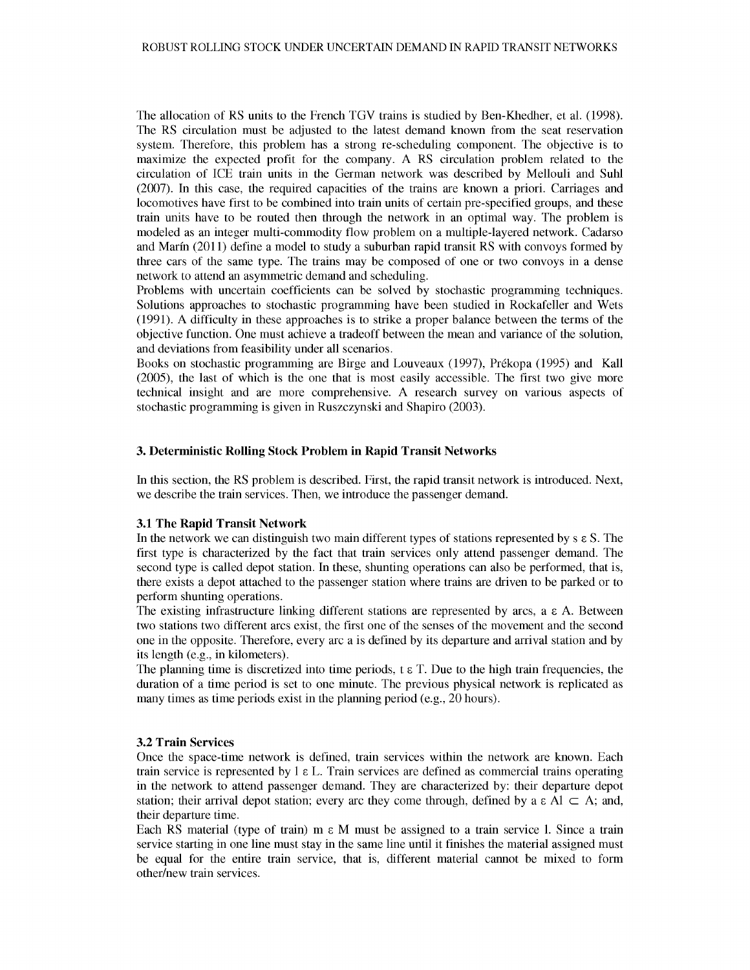The allocation of RS units to the French TGV trains is studied by Ben-Khedher, et al. (1998). The RS circulation must be adjusted to the latest demand known from the seat reservation system. Therefore, this problem has a strong re-scheduling component. The objective is to maximize the expected profit for the company. A RS circulation problem related to the circulation of ICE train units in the German network was described by Mellouli and Suhl (2007). In this case, the required capacities of the trains are known a priori. Carriages and locomotives have first to be combined into train units of certain pre-specified groups, and these train units have to be routed then through the network in an optimal way. The problem is modeled as an integer multi-commodity flow problem on a multiple-layered network. Cadarso and Marin (2011) define a model to study a suburban rapid transit RS with convoys formed by three cars of the same type. The trains may be composed of one or two convoys in a dense network to attend an asymmetric demand and scheduling.

Problems with uncertain coefficients can be solved by stochastic programming techniques. Solutions approaches to stochastic programming have been studied in Rockafeller and Wets (1991). A difficulty in these approaches is to strike a proper balance between the terms of the objective function. One must achieve a tradeoff between the mean and variance of the solution, and deviations from feasibility under all scenarios.

Books on stochastic programming are Birge and Louveaux (1997), Prekopa (1995) and Kail (2005), the last of which is the one that is most easily accessible. The first two give more technical insight and are more comprehensive. A research survey on various aspects of stochastic programming is given in Ruszczynski and Shapiro (2003).

# **3. Deterministic Rolling Stock Problem in Rapid Transit Networks**

In this section, the RS problem is described. First, the rapid transit network is introduced. Next, we describe the train services. Then, we introduce the passenger demand.

#### **3.1 The Rapid Transit Network**

In the network we can distinguish two main different types of stations represented by  $s \in S$ . The first type is characterized by the fact that train services only attend passenger demand. The second type is called depot station. In these, shunting operations can also be performed, that is, there exists a depot attached to the passenger station where trains are driven to be parked or to perform shunting operations.

The existing infrastructure linking different stations are represented by arcs,  $a \in A$ . Between two stations two different arcs exist, the first one of the senses of the movement and the second one in the opposite. Therefore, every arc a is defined by its departure and arrival station and by its length (e.g., in kilometers).

The planning time is discretized into time periods,  $t \in T$ . Due to the high train frequencies, the duration of a time period is set to one minute. The previous physical network is replicated as many times as time periods exist in the planning period (e.g., 20 hours).

#### **3.2 Train Services**

Once the space-time network is defined, train services within the network are known. Each train service is represented by  $1 \in L$ . Train services are defined as commercial trains operating in the network to attend passenger demand. They are characterized by: their departure depot station; their arrival depot station; every arc they come through, defined by a  $\epsilon$  Al  $\subset$  A; and, their departure time.

Each RS material (type of train)  $m \in M$  must be assigned to a train service 1. Since a train service starting in one line must stay in the same line until it finishes the material assigned must be equal for the entire train service, that is, different material cannot be mixed to form other/new train services.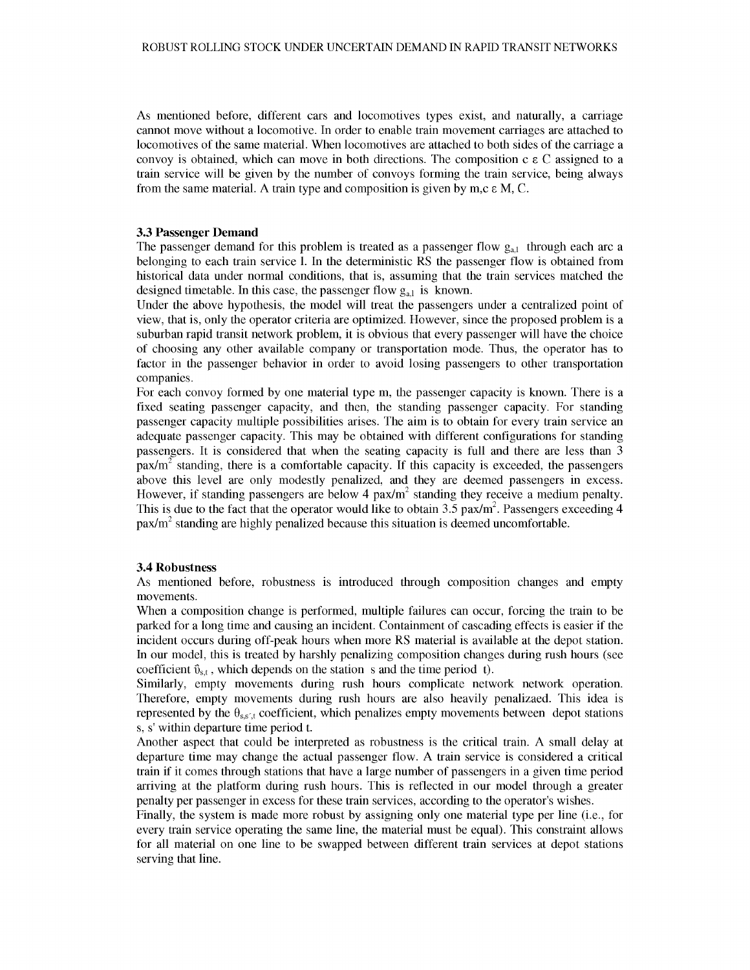As mentioned before, different cars and locomotives types exist, and naturally, a carriage cannot move without a locomotive. In order to enable train movement carriages are attached to locomotives of the same material. When locomotives are attached to both sides of the carriage a convoy is obtained, which can move in both directions. The composition c  $\epsilon$  C assigned to a train service will be given by the number of convoys forming the train service, being always from the same material. A train type and composition is given by m,c  $\varepsilon$  M, C.

#### **3.3 Passenger Demand**

The passenger demand for this problem is treated as a passenger flow  $g_{a,l}$  through each arc a belonging to each train service 1. In the deterministic RS the passenger flow is obtained from historical data under normal conditions, that is, assuming that the train services matched the designed timetable. In this case, the passenger flow  $g_{a1}$  is known.

Under the above hypothesis, the model will treat the passengers under a centralized point of view, that is, only the operator criteria are optimized. However, since the proposed problem is a suburban rapid transit network problem, it is obvious that every passenger will have the choice of choosing any other available company or transportation mode. Thus, the operator has to factor in the passenger behavior in order to avoid losing passengers to other transportation companies.

For each convoy formed by one material type m, the passenger capacity is known. There is a fixed seating passenger capacity, and then, the standing passenger capacity. For standing passenger capacity multiple possibilities arises. The aim is to obtain for every train service an adequate passenger capacity. This may be obtained with different configurations for standing passengers. It is considered that when the seating capacity is full and there are less than 3  $\mu$ <sub>pax</sub>/m<sup>2</sup> standing, there is a comfortable capacity. If this capacity is exceeded, the passengers above this level are only modestly penalized, and they are deemed passengers in excess. However, if standing passengers are below 4 pax/ $m<sup>2</sup>$  standing they receive a medium penalty. This is due to the fact that the operator would like to obtain  $3.5$  pax/m<sup>2</sup>. Passengers exceeding 4 pax/m<sup>2</sup> standing are highly penalized because this situation is deemed uncomfortable.

## **3.4 Robustness**

As mentioned before, robustness is introduced through composition changes and empty movements.

When a composition change is performed, multiple failures can occur, forcing the train to be parked for a long time and causing an incident. Containment of cascading effects is easier if the incident occurs during off-peak hours when more RS material is available at the depot station. In our model, this is treated by harshly penalizing composition changes during rush hours (see coefficient  $\ddot{v}_{s,t}$ , which depends on the station s and the time period t).

Similarly, empty movements during rush hours complicate network network operation. Therefore, empty movements during rush hours are also heavily penalizaed. This idea is represented by the  $\theta_{ss,t}$  coefficient, which penalizes empty movements between depot stations s, s' within departure time period t.

Another aspect that could be interpreted as robustness is the critical train. A small delay at departure time may change the actual passenger flow. A train service is considered a critical train if it comes through stations that have a large number of passengers in a given time period arriving at the platform during rush hours. This is reflected in our model through a greater penalty per passenger in excess for these train services, according to the operator's wishes.

Finally, the system is made more robust by assigning only one material type per line (i.e., for every train service operating the same line, the material must be equal). This constraint allows for all material on one line to be swapped between different train services at depot stations serving that line.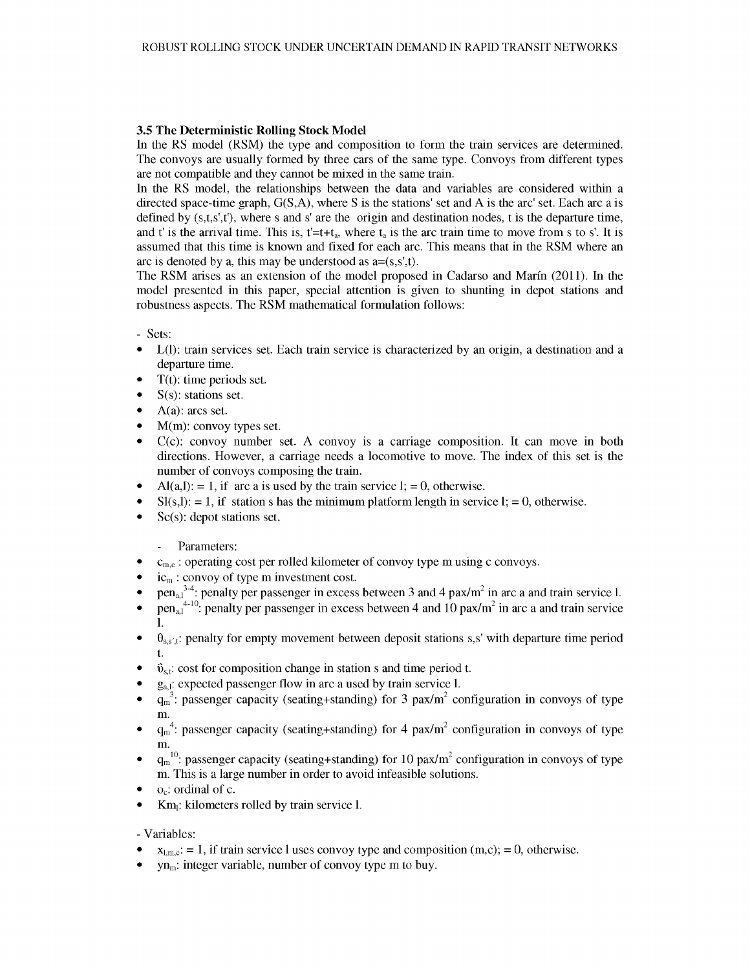# **3.5 The Deterministic Rolling Stock Model**

In the RS model (RSM) the type and composition to form the train services are determined. The convoys are usually formed by three cars of the same type. Convoys from different types are not compatible and they cannot be mixed in the same train.

In the RS model, the relationships between the data and variables are considered within a directed space-time graph, G(S,A), where S is the stations' set and A is the arc' set. Each arc a is defined by  $(s,t,s',t')$ , where s and s' are the origin and destination nodes, t is the departure time, and t' is the arrival time. This is,  $t=t+t_a$ , where  $t_a$  is the arc train time to move from s to s'. It is assumed that this time is known and fixed for each arc. This means that in the RSM where an arc is denoted by a, this may be understood as  $a=(s,s',t)$ .

The RSM arises as an extension of the model proposed in Cadarso and Marm (2011). In the model presented in this paper, special attention is given to shunting in depot stations and robustness aspects. The RSM mathematical formulation follows:

- Sets:

- L(I): train services set. Each train service is characterized by an origin, a destination and a departure time.
- $T(t)$ : time periods set.
- $S(s)$ : stations set.
- $\bullet$  A(a): arcs set.
- M(m): convoy types set.
- C(c): convoy number set. A convoy is a carriage composition. It can move in both directions. However, a carriage needs a locomotive to move. The index of this set is the number of convoys composing the train.
- $Al(a, l)$ : = 1, if arc a is used by the train service 1; = 0, otherwise.
- $Sl(s,l): = 1$ , if station s has the minimum platform length in service  $l := 0$ , otherwise.
- $Sc(s)$ : depot stations set.

#### $\mathcal{L}^{\pm}$ Parameters:

- $\bullet$   $\circ$   $c_{m,c}$ : operating cost per rolled kilometer of convoy type m using c convoys.
- ic<sub>m</sub>: convoy of type m investment cost.
- pen<sub>a,1</sub><sup>34</sup>: penalty per passenger in excess between 3 and 4 pax/m<sup>2</sup> in arc a and train service 1.
- pen<sub>a,1</sub><sup>4-10</sup>: penalty per passenger in excess between 4 and 10 pax/m<sup>2</sup> in arc a and train service 1.
- $\theta_{\text{ss}'_s:t}$ : penalty for empty movement between deposit stations s,s' with departure time period t.
- $\ddot{\mathbf{v}}_{s,t}$ : cost for composition change in station s and time period t.
- $g_{a,l}$ : expected passenger flow in arc a used by train service 1.
- $q_m^3$ : passenger capacity (seating+standing) for 3 pax/m<sup>2</sup> configuration in convoys of type m.
- $q_m^4$ : passenger capacity (seating+standing) for 4 pax/m<sup>2</sup> configuration in convoys of type m.
- $q_m^{-10}$ : passenger capacity (seating+standing) for 10 pax/m<sup>2</sup> configuration in convoys of type m. This is a large number in order to avoid infeasible solutions.
- o<sub>c</sub>: ordinal of c.
- Km<sub>i</sub>: kilometers rolled by train service 1.

## - Variables:

- $x_{1,\text{m.c.}} = 1$ , if train service 1 uses convoy type and composition (m,c); = 0, otherwise.
- $yn_m$ : integer variable, number of convoy type m to buy.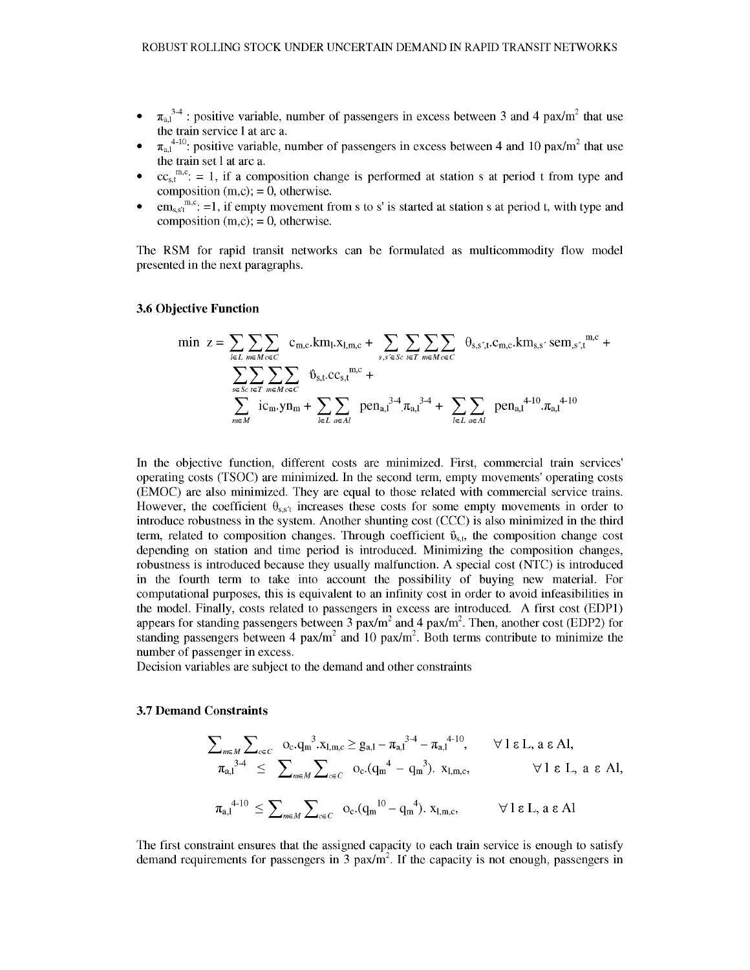- $\pi_{a1}^{3,4}$ : positive variable, number of passengers in excess between 3 and 4 pax/m<sup>2</sup> that use the train service 1 at arc a.
- $\pi_{a,l}^{4-10}$ : positive variable, number of passengers in excess between 4 and 10 pax/m<sup>2</sup> that use the train set 1 at arc a.
- $cc<sub>st</sub>^{m,c}$ : = 1, if a composition change is performed at station s at period t from type and composition  $(m.c)=0$ , otherwise.
- $\text{em}_{\text{s}}\text{s}^{\text{m}}$ ; =1, if empty movement from s to s' is started at station s at period t, with type and composition  $(m,c)$ ; = 0, otherwise.

The RSM for rapid transit networks can be formulated as multicommodity flow model presented in the next paragraphs.

## **3.6 Objective Function**

$$
\min \mathbf{z} = \sum_{l \in L} \sum_{m \in M} \sum_{c \in C} c_{m,c} \cdot k m_l \cdot x_{l,m,c} + \sum_{s,s' \in Sc} \sum_{r \in T} \sum_{m \in M} \sum_{c \in C} \theta_{s,s',t} \cdot c_{m,c} \cdot k m_{s,s'} \cdot \text{sem}_{,s',t}^{m,c} + \\ \sum_{s \in Sc} \sum_{r \in T} \sum_{m \in M} \sum_{c \in C} \hat{\mathbf{U}}_{s,t} \cdot c c_{s,t}^{m,c} + \sum_{l \in L} \sum_{a \in A l} \text{pen}_{a,l}^{3-4} \cdot \pi_{a,l}^{3-4} + \sum_{l \in L} \sum_{a \in A l} \text{pen}_{a,l}^{4-10} \cdot \pi_{a,l}^{4-10}
$$

In the objective function, different costs are minimized. First, commercial train services operating costs (TSOC) are minimized. In the second term, empty movements' operating costs (EMOC) are also minimized. They are equal to those related with commercial service trains. However, the coefficient  $\theta_{ss't}$  increases these costs for some empty movements in order to introduce robustness in the system. Another shunting cost (CCC) is also minimized in the third term, related to composition changes. Through coefficient  $\tilde{v}_{s,t}$ , the composition change cost depending on station and time period is introduced. Minimizing the composition changes, robustness is introduced because they usually malfunction. A special cost (NTC) is introduced in the fourth term to take into account the possibility of buying new material. For computational purposes, this is equivalent to an infinity cost in order to avoid infeasibilities in the model. Finally, costs related to passengers in excess are introduced. A first cost (EDP1) appears for standing passengers between 3  $pax/m^2$  and 4  $pax/m^2$ . Then, another cost (EDP2) for standing passengers between 4 pax/m<sup>2</sup> and 10 pax/m<sup>2</sup>. Both terms contribute to minimize the number of passenger in excess.

Decision variables are subject to the demand and other constraints

#### **3.7 Demand Constraints**

$$
\sum_{m \in M} \sum_{c \in C} \sigma_c . q_m^3 . x_{l,m,c} \ge g_{a,l} - \pi_{a,l}^{3-4} - \pi_{a,l}^{4-10}, \qquad \forall l \in L, a \in Al,
$$
  
\n
$$
\pi_{a,l}^{3-4} \le \sum_{m \in M} \sum_{c \in C} \sigma_c . (q_m^4 - q_m^3). x_{l,m,c}, \qquad \forall l \in L, a \in Al,
$$
  
\n
$$
\pi_{a,l}^{4-10} \le \sum_{m \in M} \sum_{c \in C} \sigma_c . (q_m^{10} - q_m^4). x_{l,m,c}, \qquad \forall l \in L, a \in Al
$$

The first constraint ensures that the assigned capacity to each train service is enough to satisfy demand requirements for passengers in 3  $\text{pax/m}^2$ . If the capacity is not enough, passengers in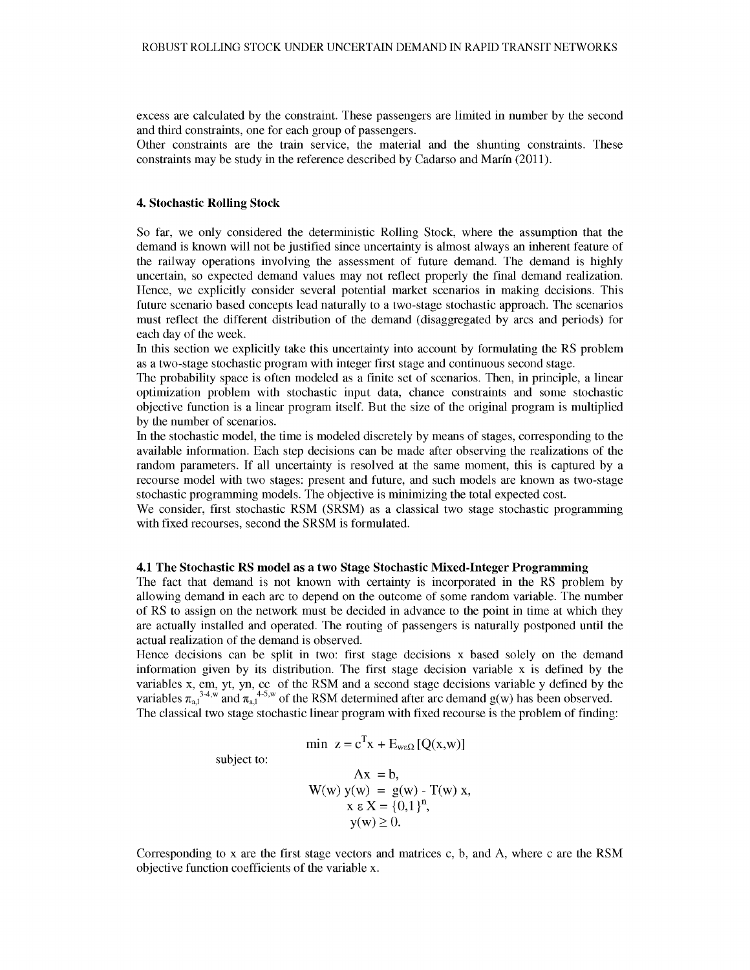excess are calculated by the constraint. These passengers are limited in number by the second and third constraints, one for each group of passengers.

Other constraints are the train service, the material and the shunting constraints. These constraints may be study in the reference described by Cadarso and Marin (2011).

## **4. Stochastic Rolling Stock**

So far, we only considered the deterministic Rolling Stock, where the assumption that the demand is known will not be justified since uncertainty is almost always an inherent feature of the railway operations involving the assessment of future demand. The demand is highly uncertain, so expected demand values may not reflect properly the final demand realization. Hence, we explicitly consider several potential market scenarios in making decisions. This future scenario based concepts lead naturally to a two-stage stochastic approach. The scenarios must reflect the different distribution of the demand (disaggregated by arcs and periods) for each day of the week.

In this section we explicitly take this uncertainty into account by formulating the RS problem as a two-stage stochastic program with integer first stage and continuous second stage.

The probability space is often modeled as a finite set of scenarios. Then, in principle, a linear optimization problem with stochastic input data, chance constraints and some stochastic objective function is a linear program itself. But the size of the original program is multiplied by the number of scenarios.

In the stochastic model, the time is modeled discretely by means of stages, corresponding to the available information. Each step decisions can be made after observing the realizations of the random parameters. If all uncertainty is resolved at the same moment, this is captured by a recourse model with two stages: present and future, and such models are known as two-stage stochastic programming models. The objective is minimizing the total expected cost.

We consider, first stochastic RSM (SRSM) as a classical two stage stochastic programming with fixed recourses, second the SRSM is formulated.

#### **4.1 The Stochastic RS model as a two Stage Stochastic Mixed-Integer Programming**

The fact that demand is not known with certainty is incorporated in the RS problem by allowing demand in each arc to depend on the outcome of some random variable. The number of RS to assign on the network must be decided in advance to the point in time at which they are actually installed and operated. The routing of passengers is naturally postponed until the actual realization of the demand is observed.

Hence decisions can be split in two: first stage decisions x based solely on the demand information given by its distribution. The first stage decision variable x is defined by the variables x, em, yt, yn, cc of the RSM and a second stage decisions variable y defined by the variables  $\pi_{a,l}^{3,4,w}$  and  $\pi_{a,l}^{4,5,w}$  of the RSM determined after arc demand g(w) has been observed. The classical two stage stochastic linear program with fixed recourse is the problem of finding:

$$
\min z = c^{T} x + E_{w \in \Omega} [Q(x, w)]
$$

subject to:

$$
Ax = b,\nW(w) y(w) = g(w) - T(w) x,\nx \in X = \{0,1\}^n,\ny(w) \ge 0.
$$

Corresponding to x are the first stage vectors and matrices c, b, and A, where c are the RSM objective function coefficients of the variable x.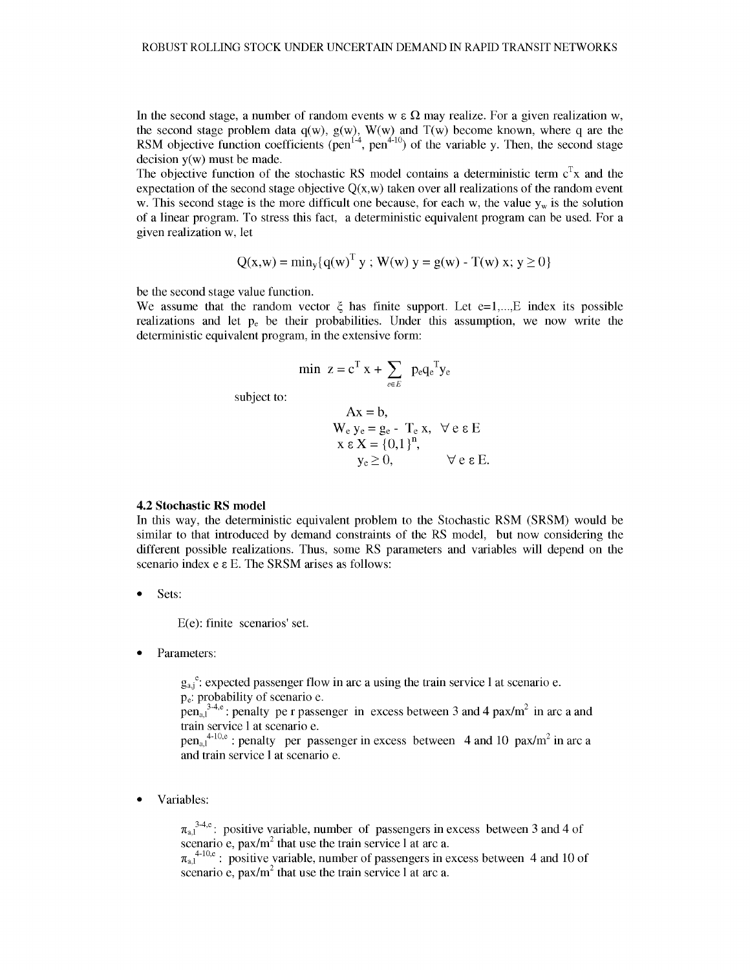In the second stage, a number of random events w  $\epsilon \Omega$  may realize. For a given realization w, the second stage problem data  $q(w)$ ,  $g(w)$ ,  $W(w)$  and  $T(w)$  become known, where q are the RSM objective function coefficients ( $pen<sup>1-4</sup>$ ,  $pen<sup>4-10</sup>$ ) of the variable y. Then, the second stage decision  $y(w)$  must be made.

The objective function of the stochastic RS model contains a deterministic term  $c^T x$  and the expectation of the second stage objective  $Q(x, w)$  taken over all realizations of the random event w. This second stage is the more difficult one because, for each w, the value  $y_w$  is the solution of a linear program. To stress this fact, a deterministic equivalent program can be used. For a given realization w, let

$$
Q(x, w) = min_{y} \{q(w)^{T} y ; W(w) y = g(w) - T(w) x; y \ge 0\}
$$

be the second stage value function.

We assume that the random vector  $\xi$  has finite support. Let  $e=1,...,E$  index its possible realizations and let  $p_e$  be their probabilities. Under this assumption, we now write the deterministic equivalent program, in the extensive form:

$$
\min \ z = c^T \ x + \sum_{e \in E} \ p_e q_e^T y_e
$$
 subject to:

$$
Ax = b,
$$
  
\n
$$
W_e y_e = g_e - T_e x, \forall e \epsilon E
$$
  
\n
$$
x \epsilon X = \{0,1\}^n,
$$
  
\n
$$
y_e \ge 0, \forall e \epsilon E.
$$

## **4.2 Stochastic RS model**

In this way, the deterministic equivalent problem to the Stochastic RSM (SRSM) would be similar to that introduced by demand constraints of the RS model, but now considering the different possible realizations. Thus, some RS parameters and variables will depend on the scenario index e e E. The SRSM arises as follows:

• Sets:

E(e): finite scenarios' set.

Parameters:

 $g_{a,j}^{\ e}$ : expected passenger flow in arc a using the train service 1 at scenario e. pe: probability of scenario e.

 $pen_{a,l}^{\text{a}}$ : penalty pe r passenger in excess between 3 and 4 pax/m<sup>2</sup> in arc a and train service 1 at scenario e.

 $pen_{a,l}^{4-10,e}$ : penalty per passenger in excess between 4 and 10 pax/m<sup>2</sup> in arc a and train service 1 at scenario e.

• Variables:

 $\pi_{a,1}^{3,4,e}$ : positive variable, number of passengers in excess between 3 and 4 of scenario e, pax/ $m^2$  that use the train service 1 at arc a.

 $\pi_{a,1}^{4\text{-}10,\text{e}}$ : positive variable, number of passengers in excess between 4 and 10 of scenario e, pax/ $m^2$  that use the train service 1 at arc a.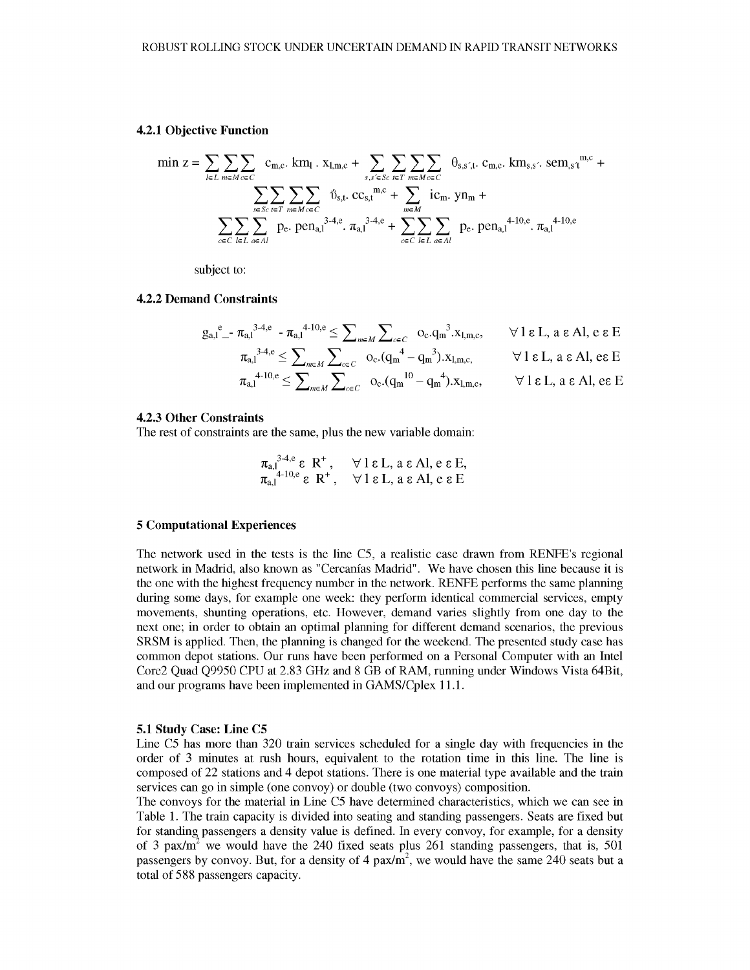#### 4.2.1 Objective Function

$$
\min z = \sum_{l \in L} \sum_{m \in M \text{ceC}} c_{m,c} \cdot k m_l \cdot x_{l,m,c} + \sum_{s,s' \in Sc} \sum_{t \in T} \sum_{m \in M \text{ceC}} \theta_{s,s',t} \cdot c_{m,c} \cdot k m_{s,s'} \cdot \text{sem}_{s't}^{m,c} + \\ \sum_{s \in Sc} \sum_{t \in T} \sum_{m \in M \text{ceC}} \hat{v}_{s,t} \cdot c c_{s,t}^{m,c} + \sum_{m \in M} i c_m \cdot y n_m + \\ \sum_{c \in C} \sum_{l \in L} \sum_{a \in A l} p_e \cdot \text{pen}_{a,l}^{3-4,c} \cdot \pi_{a,l}^{3-4,c} + \sum_{c \in C} \sum_{l \in L} \sum_{a \in A l} p_e \cdot \text{pen}_{a,l}^{4-10,e} \cdot \pi_{a,l}^{4-10,e}
$$

subject to:

#### **4.2.2 Demand Constraints**

$$
g_{a,l}^e - \pi_{a,l}^{3\cdot 4,e} - \pi_{a,l}^{4\cdot 10,e} \leq \sum_{m \in M} \sum_{c \in C} o_c.q_m^{3\cdot}x_{l,m,c}, \qquad \forall l \in L, a \in Al, e \in E
$$
  

$$
\pi_{a,l}^{3\cdot 4,e} \leq \sum_{m \in M} \sum_{c \in C} o_c.(q_m^{4} - q_m^{3}).x_{l,m,c}, \qquad \forall l \in L, a \in Al, e \in E
$$
  

$$
\pi_{a,l}^{4\cdot 10,e} \leq \sum_{m \in M} \sum_{c \in C} o_c.(q_m^{10} - q_m^{4}).x_{l,m,c}, \qquad \forall l \in L, a \in Al, e \in E
$$

#### **4.2.3 Other Constraints**

The rest of constraints are the same, plus the new variable domain:

$$
\pi_{a,1}^{3,4,e}
$$
  $\varepsilon$   $\mathbb{R}^+$ ,  $\forall$  1  $\varepsilon$  L, a  $\varepsilon$  Al, e  $\varepsilon$  E,  
\n $\pi_{a,1}^{4+10,e}$   $\varepsilon$   $\mathbb{R}^+$ ,  $\forall$  1  $\varepsilon$  L, a  $\varepsilon$  Al, e  $\varepsilon$  E

## **5 Computational Experiences**

The network used in the tests is the line C5, a realistic case drawn from RENFE's regional network in Madrid, also known as "Cercanías Madrid". We have chosen this line because it is the one with the highest frequency number in the network. RENFE performs the same planning during some days, for example one week: they perform identical commercial services, empty movements, shunting operations, etc. However, demand varies slightly from one day to the next one; in order to obtain an optimal planning for different demand scenarios, the previous SRSM is applied. Then, the planning is changed for the weekend. The presented study case has common depot stations. Our runs have been performed on a Personal Computer with an Intel Core2 Quad Q9950 CPU at 2.83 GHz and 8 GB of RAM, running under Windows Vista 64Bit, and our programs have been implemented in GAMS/Cplex 11.1.

#### 5.1 Study Case: Line C5

Line C5 has more than 320 train services scheduled for a single day with frequencies in the order of 3 minutes at rush hours, equivalent to the rotation time in this line. The line is composed of 22 stations and 4 depot stations. There is one material type available and the train services can go in simple (one convoy) or double (two convoys) composition.

The convoys for the material in Line C5 have determined characteristics, which we can see in Table 1. The train capacity is divided into seating and standing passengers. Seats are fixed but for standing passengers a density value is defined. In every convoy, for example, for a density of 3 pax/ $m<sup>2</sup>$  we would have the 240 fixed seats plus 261 standing passengers, that is, 501 passengers by convoy. But, for a density of 4  $\text{pax/m}^2$ , we would have the same 240 seats but a total of 588 passengers capacity.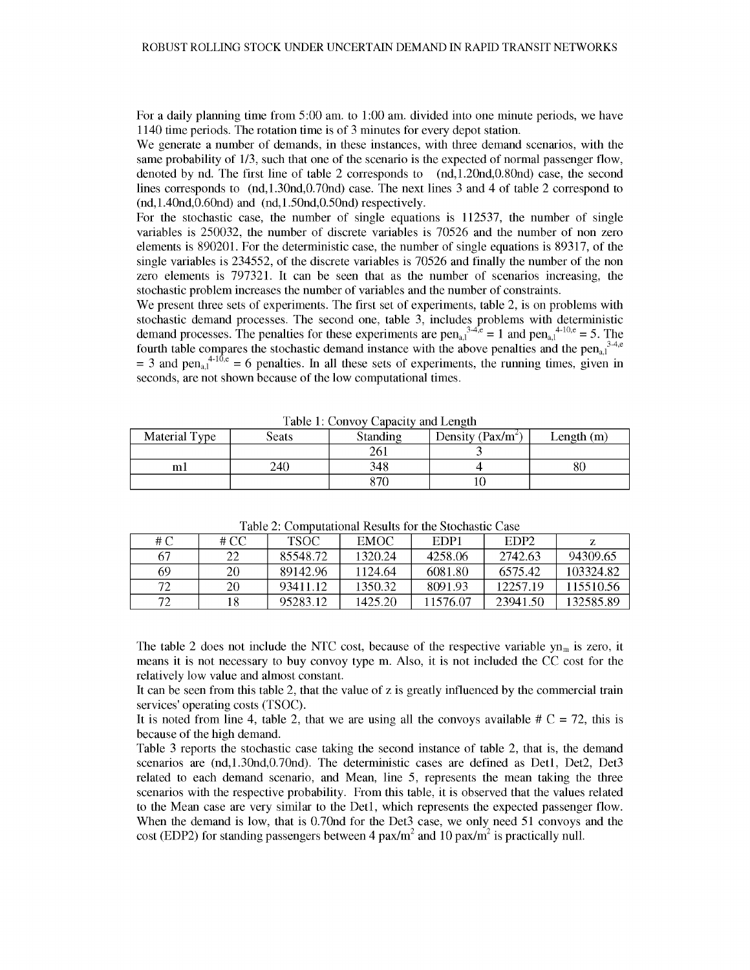For a daily planning time from 5:00 am. to 1:00 am. divided into one minute periods, we have 1140 time periods. The rotation time is of 3 minutes for every depot station.

We generate a number of demands, in these instances, with three demand scenarios, with the same probability of 1/3, such that one of the scenario is the expected of normal passenger flow, denoted by nd. The first line of table 2 corresponds to (nd,1.20nd,0.80nd) case, the second lines corresponds to (nd,1.30nd,0.70nd) case. The next lines 3 and 4 of table 2 correspond to  $(nd, 1.40nd, 0.60nd)$  and  $(nd, 1.50nd, 0.50nd)$  respectively.

For the stochastic case, the number of single equations is 112537, the number of single variables is 250032, the number of discrete variables is 70526 and the number of non zero elements is 890201. For the deterministic case, the number of single equations is 89317, of the single variables is 234552, of the discrete variables is 70526 and finally the number of the non zero elements is 797321. It can be seen that as the number of scenarios increasing, the stochastic problem increases the number of variables and the number of constraints.

We present three sets of experiments. The first set of experiments, table 2, is on problems with stochastic demand processes. The second one, table 3, includes problems with deterministic demand processes. The penalties for these experiments are  $pen_{a,l}^{3.4,c} = 1$  and  $pen_{a,l}^{4.10,e} = 5$ . The fourth table compares the stochastic demand instance with the above penalties and the pen<sub>al</sub><sup>34,e</sup>  $=$  3 and pen<sub>a,1</sub><sup>4-10'</sup>, e = 6 penalties. In all these sets of experiments, the running times, given in seconds, are not shown because of the low computational times.

| Material Type | Seats | <b>Standing</b> | Density ( $Pax/m^2$ ) | Length $(m)$ |
|---------------|-------|-----------------|-----------------------|--------------|
|               |       | 261             |                       |              |
| mı            | 240   | 348             |                       | 80           |
|               |       | 070             |                       |              |

Table 1: Convoy Capacity and Length

| # C | # CC | TSOC -   | EMOC.   | EDP1     | EDP <sub>2</sub> |           |
|-----|------|----------|---------|----------|------------------|-----------|
| 67  | 22   | 85548.72 | 1320.24 | 4258.06  | 2742.63          | 94309.65  |
| -69 | 20   | 89142.96 | 1124.64 | 6081.80  | 6575.42          | 103324.82 |
| 72  | 20   | 93411.12 | 1350.32 | 8091.93  | 12257.19         | 115510.56 |
| 72  |      | 95283.12 | 1425.20 | 11576.07 | 23941.50         | 132585.89 |

Table 2: Computational Results for the Stochastic Case

The table 2 does not include the NTC cost, because of the respective variable  $yn_m$  is zero, it means it is not necessary to buy convoy type m. Also, it is not included the CC cost for the relatively low value and almost constant.

It can be seen from this table 2, that the value of z is greatly influenced by the commercial train services' operating costs (TSOC).

It is noted from line 4, table 2, that we are using all the convoys available  $\# C = 72$ , this is because of the high demand.

Table 3 reports the stochastic case taking the second instance of table 2, that is, the demand scenarios are (nd,1.30nd,0.70nd). The deterministic cases are defined as Detl, Det2, Det3 related to each demand scenario, and Mean, line 5, represents the mean taking the three scenarios with the respective probability. From this table, it is observed that the values related to the Mean case are very similar to the Detl, which represents the expected passenger flow. When the demand is low, that is 0.70nd for the Det3 case, we only need 51 convoys and the cost (EDP2) for standing passengers between 4 pax/m<sup>2</sup> and 10 pax/m<sup>2</sup> is practically null.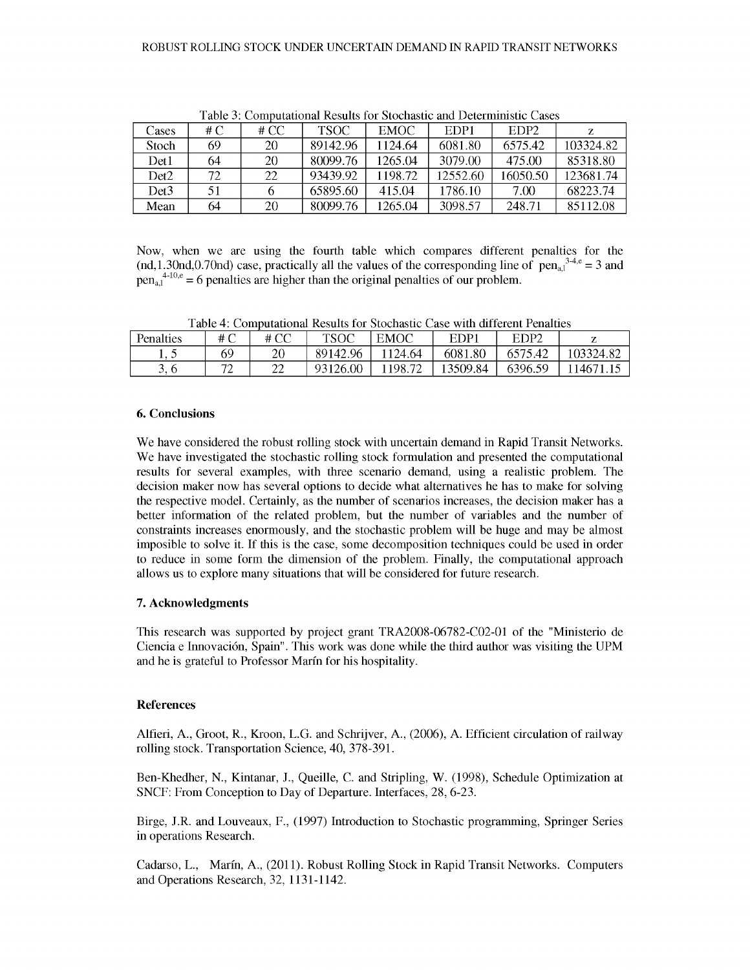| Cases | # C | # $CC$ | <b>TSOC</b> | <b>EMOC</b> | EDP1     | EDP <sub>2</sub> | Z         |
|-------|-----|--------|-------------|-------------|----------|------------------|-----------|
| Stoch | 69  | 20     | 89142.96    | 1124.64     | 6081.80  | 6575.42          | 103324.82 |
| Det1  | 64  | 20     | 80099.76    | 1265.04     | 3079.00  | 475.00           | 85318.80  |
| Det2  | 72  | 22     | 93439.92    | 1198.72     | 12552.60 | 16050.50         | 123681.74 |
| Det3  | 51  |        | 65895.60    | 415.04      | 1786.10  | 7.00             | 68223.74  |
| Mean  | 64  | 20     | 80099.76    | 1265.04     | 3098.57  | 248.71           | 85112.08  |

Table 3: Computational Results for Stochastic and Deterministic Cases

Now, when we are using the fourth table which compares different penalties for the (nd,1.30nd,0.70nd) case, practically all the values of the corresponding line of pen<sub>a,1</sub><sup>3-4,e</sup> = 3 and  $pen_{a,1}^{4-10,e} = 6$  penalties are higher than the original penalties of our problem.

Table 4: Computational Results for Stochastic Case with different Penalties

| Penalties | # C             | # CC     | TSOC     | EMOC    | EDP.     | EDP <sub>2</sub> |           |
|-----------|-----------------|----------|----------|---------|----------|------------------|-----------|
| . . J     | 69              | 20       | 89142.96 | 124.64  | 6081.80  | 6575.42          | 103324.82 |
| ◡         | $\neg\neg$<br>∠ | າາ<br>∠∠ | 93126.00 | 1198.72 | 13509.84 | 6396.59          | 14671.    |

## **6. Conclusions**

We have considered the robust rolling stock with uncertain demand in Rapid Transit Networks. We have investigated the stochastic rolling stock formulation and presented the computational results for several examples, with three scenario demand, using a realistic problem. The decision maker now has several options to decide what alternatives he has to make for solving the respective model. Certainly, as the number of scenarios increases, the decision maker has a better information of the related problem, but the number of variables and the number of constraints increases enormously, and the stochastic problem will be huge and may be almost imposible to solve it. If this is the case, some decomposition techniques could be used in order to reduce in some form the dimension of the problem. Finally, the computational approach allows us to explore many situations that will be considered for future research.

# **7. Acknowledgments**

This research was supported by project grant TRA2008-06782-C02-01 of the "Ministerio de Ciencia e Innovation, Spain". This work was done while the third author was visiting the UPM and he is grateful to Professor Marin for his hospitality.

## **References**

Alfieri, A., Groot, R., Kroon, L.G. and Schrijver, A., (2006), A. Efficient circulation of railway rolling stock. Transportation Science, 40, 378-391.

Ben-Khedher, N., Kintanar, J., Queille, C. and Stripling, W. (1998), Schedule Optimization at SNCF: From Conception to Day of Departure. Interfaces, 28, 6-23.

Birge, J.R. and Louveaux, F., (1997) Introduction to Stochastic programming, Springer Series in operations Research.

Cadarso, L., Marin, A., (2011). Robust Rolling Stock in Rapid Transit Networks. Computers and Operations Research, 32, 1131-1142.